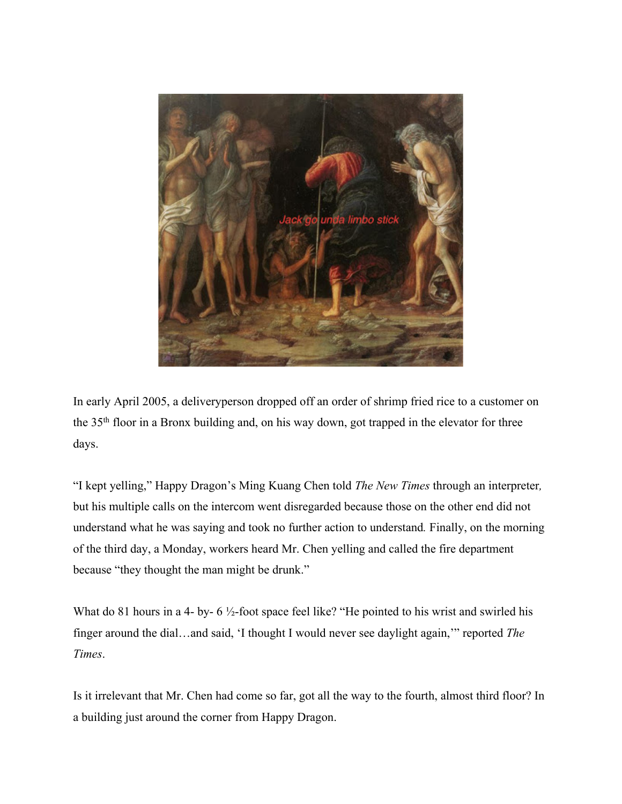

In early April 2005, a deliveryperson dropped off an order of shrimp fried rice to a customer on the 35th floor in a Bronx building and, on his way down, got trapped in the elevator for three days.

"I kept yelling," Happy Dragon's Ming Kuang Chen told *The New Times* through an interpreter*,*  but his multiple calls on the intercom went disregarded because those on the other end did not understand what he was saying and took no further action to understand*.* Finally, on the morning of the third day, a Monday, workers heard Mr. Chen yelling and called the fire department because "they thought the man might be drunk."

What do 81 hours in a 4- by- 6  $\frac{1}{2}$ -foot space feel like? "He pointed to his wrist and swirled his finger around the dial…and said, 'I thought I would never see daylight again,'" reported *The Times*.

Is it irrelevant that Mr. Chen had come so far, got all the way to the fourth, almost third floor? In a building just around the corner from Happy Dragon.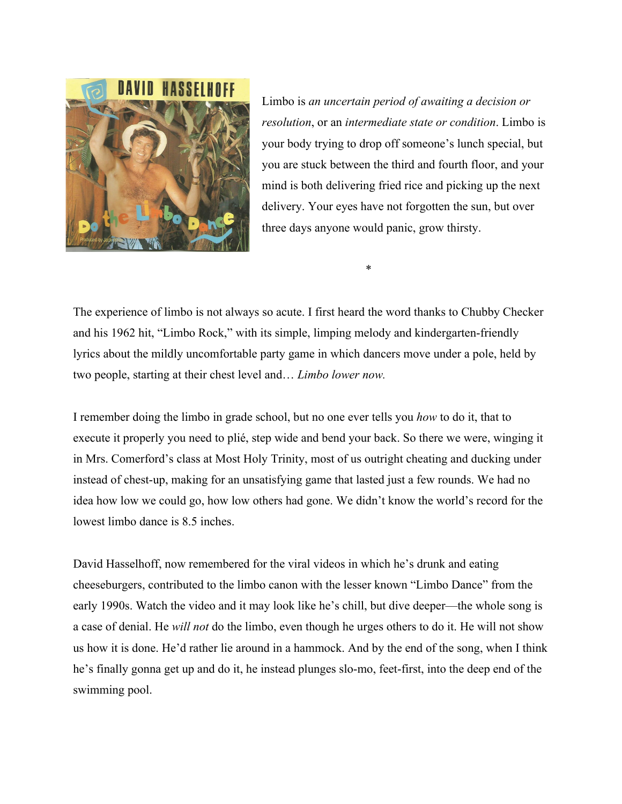

Limbo is *an uncertain period of awaiting a decision or resolution*, or an *intermediate state or condition*. Limbo is your body trying to drop off someone's lunch special, but you are stuck between the third and fourth floor, and your mind is both delivering fried rice and picking up the next delivery. Your eyes have not forgotten the sun, but over three days anyone would panic, grow thirsty.

\*

The experience of limbo is not always so acute. I first heard the word thanks to Chubby Checker and his 1962 hit, "Limbo Rock," with its simple, limping melody and kindergarten-friendly lyrics about the mildly uncomfortable party game in which dancers move under a pole, held by two people, starting at their chest level and… *Limbo lower now.*

I remember doing the limbo in grade school, but no one ever tells you *how* to do it, that to execute it properly you need to plié, step wide and bend your back. So there we were, winging it in Mrs. Comerford's class at Most Holy Trinity, most of us outright cheating and ducking under instead of chest-up, making for an unsatisfying game that lasted just a few rounds. We had no idea how low we could go, how low others had gone. We didn't know the world's record for the lowest limbo dance is 8.5 inches.

David Hasselhoff, now remembered for the viral videos in which he's drunk and eating cheeseburgers, contributed to the limbo canon with the lesser known "Limbo Dance" from the early 1990s. Watch the video and it may look like he's chill, but dive deeper—the whole song is a case of denial. He *will not* do the limbo, even though he urges others to do it. He will not show us how it is done. He'd rather lie around in a hammock. And by the end of the song, when I think he's finally gonna get up and do it, he instead plunges slo-mo, feet-first, into the deep end of the swimming pool.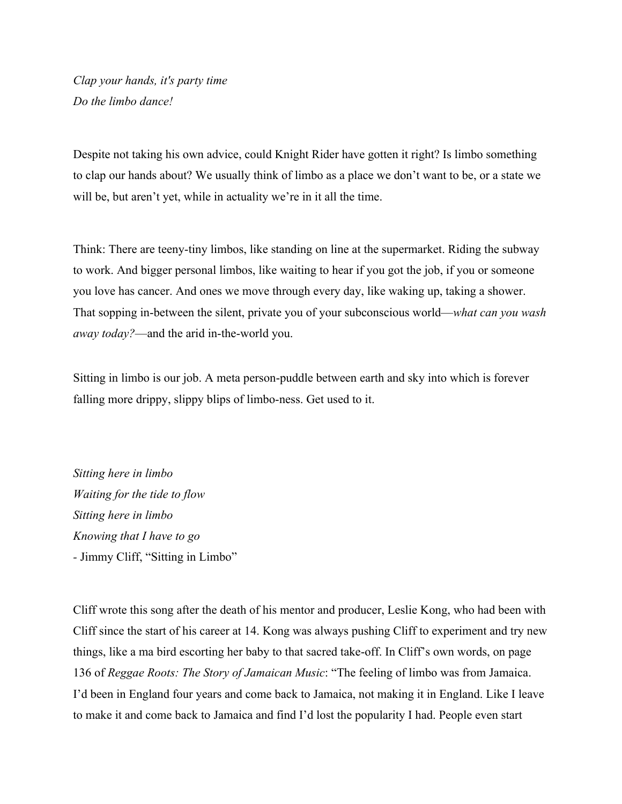*Clap your hands, it's party time Do the limbo dance!*

Despite not taking his own advice, could Knight Rider have gotten it right? Is limbo something to clap our hands about? We usually think of limbo as a place we don't want to be, or a state we will be, but aren't yet, while in actuality we're in it all the time.

Think: There are teeny-tiny limbos, like standing on line at the supermarket. Riding the subway to work. And bigger personal limbos, like waiting to hear if you got the job, if you or someone you love has cancer. And ones we move through every day, like waking up, taking a shower. That sopping in-between the silent, private you of your subconscious world—*what can you wash away today?*—and the arid in-the-world you.

Sitting in limbo is our job. A meta person-puddle between earth and sky into which is forever falling more drippy, slippy blips of limbo-ness. Get used to it.

*Sitting here in limbo Waiting for the tide to flow Sitting here in limbo Knowing that I have to go -* Jimmy Cliff, "Sitting in Limbo"

Cliff wrote this song after the death of his mentor and producer, Leslie Kong, who had been with Cliff since the start of his career at 14. Kong was always pushing Cliff to experiment and try new things, like a ma bird escorting her baby to that sacred take-off. In Cliff's own words, on page 136 of *Reggae Roots: The Story of Jamaican Music*: "The feeling of limbo was from Jamaica. I'd been in England four years and come back to Jamaica, not making it in England. Like I leave to make it and come back to Jamaica and find I'd lost the popularity I had. People even start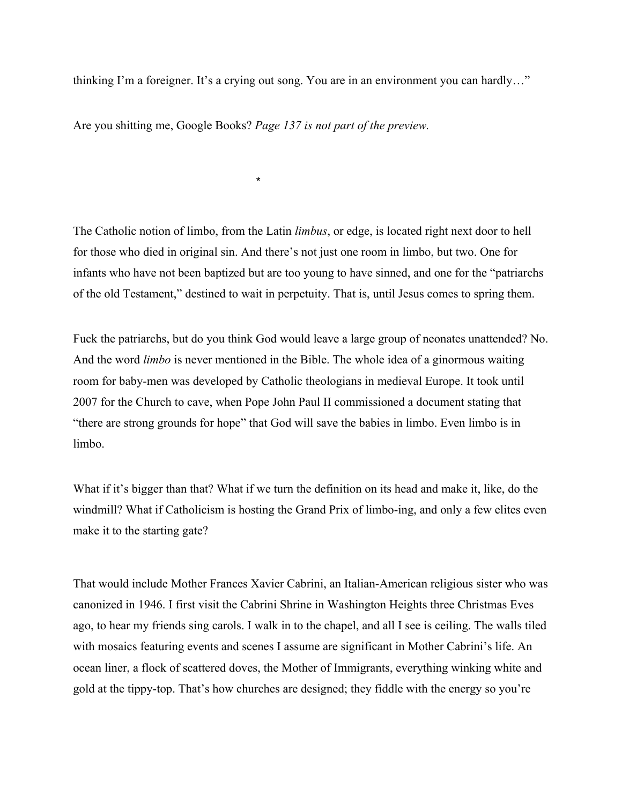thinking I'm a foreigner. It's a crying out song. You are in an environment you can hardly…"

Are you shitting me, Google Books? *Page 137 is not part of the preview.*

 $\star$ 

The Catholic notion of limbo, from the Latin *limbus*, or edge, is located right next door to hell for those who died in original sin. And there's not just one room in limbo, but two. One for infants who have not been baptized but are too young to have sinned, and one for the "patriarchs of the old Testament," destined to wait in perpetuity. That is, until Jesus comes to spring them.

Fuck the patriarchs, but do you think God would leave a large group of neonates unattended? No. And the word *limbo* is never mentioned in the Bible. The whole idea of a ginormous waiting room for baby-men was developed by Catholic theologians in medieval Europe. It took until 2007 for the Church to cave, when Pope John Paul II commissioned a document stating that "there are strong grounds for hope" that God will save the babies in limbo. Even limbo is in limbo.

What if it's bigger than that? What if we turn the definition on its head and make it, like, do the windmill? What if Catholicism is hosting the Grand Prix of limbo-ing, and only a few elites even make it to the starting gate?

That would include Mother Frances Xavier Cabrini, an Italian-American religious sister who was canonized in 1946. I first visit the Cabrini Shrine in Washington Heights three Christmas Eves ago, to hear my friends sing carols. I walk in to the chapel, and all I see is ceiling. The walls tiled with mosaics featuring events and scenes I assume are significant in Mother Cabrini's life. An ocean liner, a flock of scattered doves, the Mother of Immigrants, everything winking white and gold at the tippy-top. That's how churches are designed; they fiddle with the energy so you're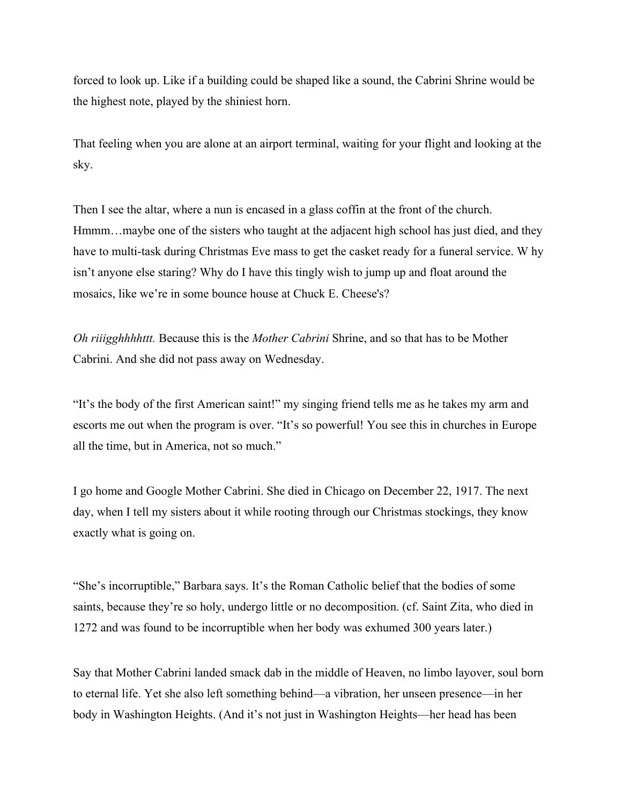forced to look up. Like if a building could be shaped like a sound, the Cabrini Shrine would be the highest note, played by the shiniest horn.

That feeling when you are alone at an airport terminal, waiting for your flight and looking at the sky.

Then I see the altar, where a nun is encased in a glass coffin at the front of the church. Hmmm...maybe one of the sisters who taught at the adjacent high school has just died, and they have to multi-task during Christmas Eve mass to get the casket ready for a funeral service. W hy isn't anyone else staring? Why do I have this tingly wish to jump up and float around the mosaics, like we're in some bounce house at Chuck E. Cheese's?

*Oh riiigghhhhttt.* Because this is the *Mother Cabrini* Shrine, and so that has to be Mother Cabrini. And she did not pass away on Wednesday.

"It's the body of the first American saint!" my singing friend tells me as he takes my arm and escorts me out when the program is over. "It's so powerful! You see this in churches in Europe all the time, but in America, not so much."

I go home and Google Mother Cabrini. She died in Chicago on December 22, 1917. The next day, when I tell my sisters about it while rooting through our Christmas stockings, they know exactly what is going on.

"She's incorruptible," Barbara says. It's the Roman Catholic belief that the bodies of some saints, because they're so holy, undergo little or no decomposition. (cf. Saint Zita, who died in 1272 and was found to be incorruptible when her body was exhumed 300 years later.)

Say that Mother Cabrini landed smack dab in the middle of Heaven, no limbo layover, soul born to eternal life. Yet she also left something behind—a vibration, her unseen presence—in her body in Washington Heights. (And it's not just in Washington Heights—her head has been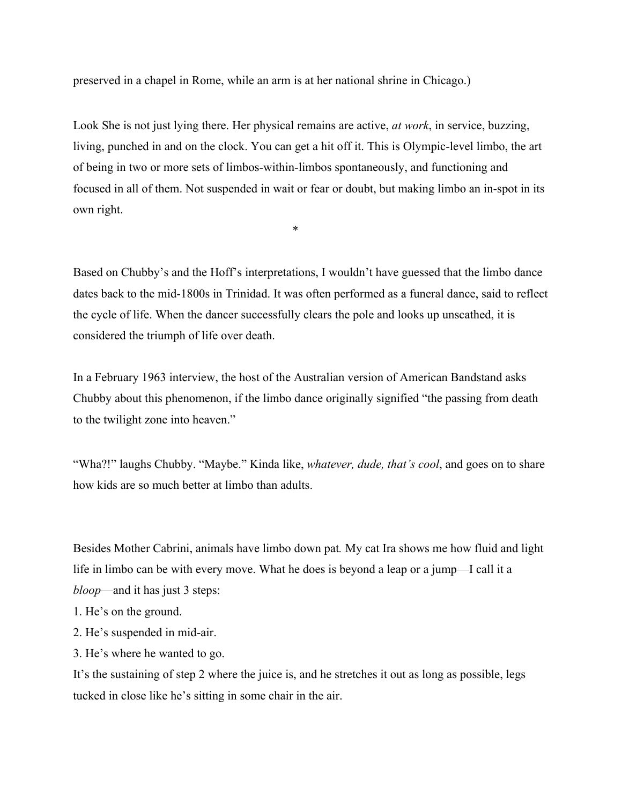preserved in a chapel in Rome, while an arm is at her national shrine in Chicago.)

Look She is not just lying there. Her physical remains are active, *at work*, in service, buzzing, living, punched in and on the clock. You can get a hit off it. This is Olympic-level limbo, the art of being in two or more sets of limbos-within-limbos spontaneously, and functioning and focused in all of them. Not suspended in wait or fear or doubt, but making limbo an in-spot in its own right.

\*

Based on Chubby's and the Hoff's interpretations, I wouldn't have guessed that the limbo dance dates back to the mid-1800s in Trinidad. It was often performed as a funeral dance, said to reflect the cycle of life. When the dancer successfully clears the pole and looks up unscathed, it is considered the triumph of life over death.

In a February 1963 interview, the host of the Australian version of American Bandstand asks Chubby about this phenomenon, if the limbo dance originally signified "the passing from death to the twilight zone into heaven."

"Wha?!" laughs Chubby. "Maybe." Kinda like, *whatever, dude, that's cool*, and goes on to share how kids are so much better at limbo than adults.

Besides Mother Cabrini, animals have limbo down pat*.* My cat Ira shows me how fluid and light life in limbo can be with every move. What he does is beyond a leap or a jump—I call it a *bloop*—and it has just 3 steps:

- 1. He's on the ground.
- 2. He's suspended in mid-air.
- 3. He's where he wanted to go.

It's the sustaining of step 2 where the juice is, and he stretches it out as long as possible, legs tucked in close like he's sitting in some chair in the air.